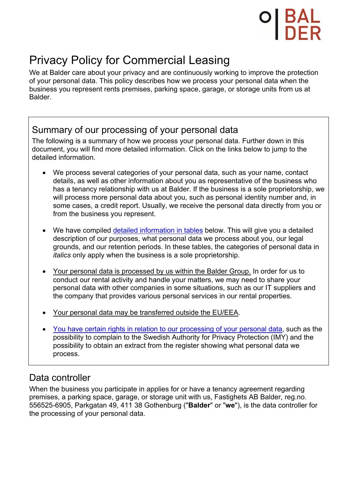# Privacy Policy for Commercial Leasing

We at Balder care about your privacy and are continuously working to improve the protection of your personal data. This policy describes how we process your personal data when the business you represent rents premises, parking space, garage, or storage units from us at Balder.

## Summary of our processing of your personal data

The following is a summary of how we process your personal data. Further down in this document, you will find more detailed information. Click on the links below to jump to the detailed information.

- We process several categories of your personal data, such as your name, contact details, as well as other information about you as representative of the business who has a tenancy relationship with us at Balder. If the business is a sole proprietorship, we will process more personal data about you, such as personal identity number and, in some cases, a credit report. Usually, we receive the personal data directly from you or from the business you represent.
- We have compiled detailed information in tables below. This will give you a detailed description of our purposes, what personal data we process about you, our legal grounds, and our retention periods. In these tables, the categories of personal data in *italics* only apply when the business is a sole proprietorship.
- Your personal data is processed by us within the Balder Group. In order for us to conduct our rental activity and handle your matters, we may need to share your personal data with other companies in some situations, such as our IT suppliers and the company that provides various personal services in our rental properties.
- Your personal data may be transferred outside the EU/EEA.
- You have certain rights in relation to our processing of your personal data, such as the possibility to complain to the Swedish Authority for Privacy Protection (IMY) and the possibility to obtain an extract from the register showing what personal data we process.

## Data controller

When the business you participate in applies for or have a tenancy agreement regarding premises, a parking space, garage, or storage unit with us, Fastighets AB Balder, reg.no. 556525-6905, Parkgatan 49, 411 38 Gothenburg ("**Balder**" or "**we**"), is the data controller for the processing of your personal data.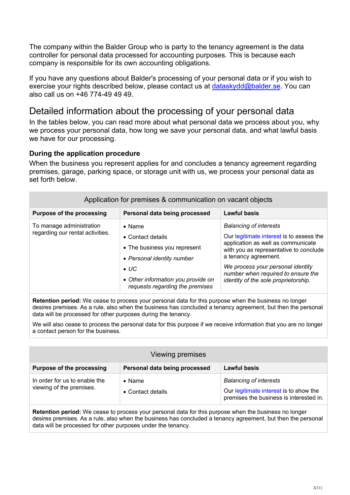The company within the Balder Group who is party to the tenancy agreement is the data controller for personal data processed for accounting purposes. This is because each company is responsible for its own accounting obligations.

If you have any questions about Balder's processing of your personal data or if you wish to exercise your rights described below, please contact us at dataskydd@balder.se. You can also call us on +46 774-49 49 49.

## Detailed information about the processing of your personal data

In the tables below, you can read more about what personal data we process about you, why we process your personal data, how long we save your personal data, and what lawful basis we have for our processing.

#### **During the application procedure**

When the business you represent applies for and concludes a tenancy agreement regarding premises, garage, parking space, or storage unit with us, we process your personal data as set forth below.

| Application for premises & communication on vacant objects   |                                                                                                                                                                                                    |                                                                                                                                                                                                                                                                                                      |
|--------------------------------------------------------------|----------------------------------------------------------------------------------------------------------------------------------------------------------------------------------------------------|------------------------------------------------------------------------------------------------------------------------------------------------------------------------------------------------------------------------------------------------------------------------------------------------------|
| <b>Purpose of the processing</b>                             | Personal data being processed                                                                                                                                                                      | <b>Lawful basis</b>                                                                                                                                                                                                                                                                                  |
| To manage administration<br>regarding our rental activities. | $\bullet$ Name<br>$\bullet$ Contact details<br>• The business you represent<br>• Personal identity number<br>$\bullet$ UC<br>• Other information you provide on<br>requests regarding the premises | <b>Balancing of interests</b><br>Our legitimate interest is to assess the<br>application as well as communicate<br>with you as representative to conclude<br>a tenancy agreement.<br>We process your personal identity<br>number when required to ensure the<br>identity of the sole proprietorship. |

**Retention period:** We cease to process your personal data for this purpose when the business no longer desires premises. As a rule, also when the business has concluded a tenancy agreement, but then the personal data will be processed for other purposes during the tenancy.

We will also cease to process the personal data for this purpose if we receive information that you are no longer a contact person for the business.

| Viewing premises                                          |                                     |                                                                                                                    |
|-----------------------------------------------------------|-------------------------------------|--------------------------------------------------------------------------------------------------------------------|
| <b>Purpose of the processing</b>                          | Personal data being processed       | <b>Lawful basis</b>                                                                                                |
| In order for us to enable the<br>viewing of the premises. | $\bullet$ Name<br>• Contact details | <b>Balancing of interests</b><br>Our legitimate interest is to show the<br>premises the business is interested in. |

**Retention period:** We cease to process your personal data for this purpose when the business no longer desires premises. As a rule, also when the business has concluded a tenancy agreement, but then the personal data will be processed for other purposes under the tenancy.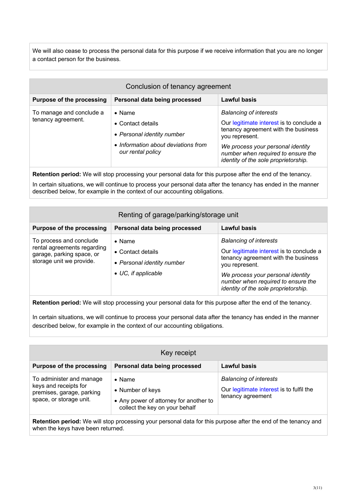We will also cease to process the personal data for this purpose if we receive information that you are no longer a contact person for the business.

| Conclusion of tenancy agreement                |                                                                                                                                       |                                                                                                                                                                                                                                                       |
|------------------------------------------------|---------------------------------------------------------------------------------------------------------------------------------------|-------------------------------------------------------------------------------------------------------------------------------------------------------------------------------------------------------------------------------------------------------|
| <b>Purpose of the processing</b>               | Personal data being processed                                                                                                         | Lawful basis                                                                                                                                                                                                                                          |
| To manage and conclude a<br>tenancy agreement. | $\bullet$ Name<br>$\bullet$ Contact details<br>• Personal identity number<br>• Information about deviations from<br>our rental policy | <b>Balancing of interests</b><br>Our legitimate interest is to conclude a<br>tenancy agreement with the business<br>you represent.<br>We process your personal identity<br>number when required to ensure the<br>identity of the sole proprietorship. |

**Retention period:** We will stop processing your personal data for this purpose after the end of the tenancy.

In certain situations, we will continue to process your personal data after the tenancy has ended in the manner described below, for example in the context of our accounting obligations.

| Renting of garage/parking/storage unit                                                                          |                                                                                                          |                                                                                                                                                                                                                                                       |
|-----------------------------------------------------------------------------------------------------------------|----------------------------------------------------------------------------------------------------------|-------------------------------------------------------------------------------------------------------------------------------------------------------------------------------------------------------------------------------------------------------|
| <b>Purpose of the processing</b>                                                                                | Personal data being processed                                                                            | <b>Lawful basis</b>                                                                                                                                                                                                                                   |
| To process and conclude<br>rental agreements regarding<br>garage, parking space, or<br>storage unit we provide. | $\bullet$ Name<br>$\bullet$ Contact details<br>• Personal identity number<br>$\bullet$ UC, if applicable | <b>Balancing of interests</b><br>Our legitimate interest is to conclude a<br>tenancy agreement with the business<br>you represent.<br>We process your personal identity<br>number when required to ensure the<br>identity of the sole proprietorship. |

**Retention period:** We will stop processing your personal data for this purpose after the end of the tenancy.

In certain situations, we will continue to process your personal data after the tenancy has ended in the manner described below, for example in the context of our accounting obligations.

| Key receipt                                                                                               |                                                                                                                |                                                                                                |
|-----------------------------------------------------------------------------------------------------------|----------------------------------------------------------------------------------------------------------------|------------------------------------------------------------------------------------------------|
| <b>Purpose of the processing</b>                                                                          | Personal data being processed                                                                                  | Lawful basis                                                                                   |
| To administer and manage<br>keys and receipts for<br>premises, garage, parking<br>space, or storage unit. | $\bullet$ Name<br>• Number of keys<br>• Any power of attorney for another to<br>collect the key on your behalf | <b>Balancing of interests</b><br>Our legitimate interest is to fulfil the<br>tenancy agreement |

**Retention period:** We will stop processing your personal data for this purpose after the end of the tenancy and when the keys have been returned.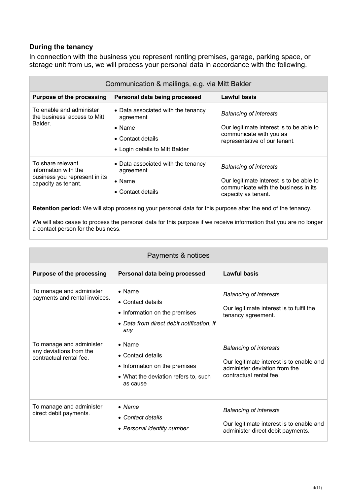#### **During the tenancy**

In connection with the business you represent renting premises, garage, parking space, or storage unit from us, we will process your personal data in accordance with the following.

| Communication & mailings, e.g. via Mitt Balder                                                    |                                                                                                                                  |                                                                                                                                          |
|---------------------------------------------------------------------------------------------------|----------------------------------------------------------------------------------------------------------------------------------|------------------------------------------------------------------------------------------------------------------------------------------|
| <b>Purpose of the processing</b>                                                                  | Personal data being processed                                                                                                    | Lawful basis                                                                                                                             |
| To enable and administer<br>the business' access to Mitt<br>Balder.                               | • Data associated with the tenancy<br>agreement<br>$\bullet$ Name<br>$\bullet$ Contact details<br>• Login details to Mitt Balder | <b>Balancing of interests</b><br>Our legitimate interest is to be able to<br>communicate with you as<br>representative of our tenant.    |
| To share relevant<br>information with the<br>business you represent in its<br>capacity as tenant. | • Data associated with the tenancy<br>agreement<br>$\bullet$ Name<br>$\bullet$ Contact details                                   | <b>Balancing of interests</b><br>Our legitimate interest is to be able to<br>communicate with the business in its<br>capacity as tenant. |

**Retention period:** We will stop processing your personal data for this purpose after the end of the tenancy.

We will also cease to process the personal data for this purpose if we receive information that you are no longer a contact person for the business.

| Payments & notices                                                             |                                                                                                                          |                                                                                                                                       |
|--------------------------------------------------------------------------------|--------------------------------------------------------------------------------------------------------------------------|---------------------------------------------------------------------------------------------------------------------------------------|
| <b>Purpose of the processing</b>                                               | Personal data being processed                                                                                            | Lawful basis                                                                                                                          |
| To manage and administer<br>payments and rental invoices.                      | $\bullet$ Name<br>• Contact details<br>• Information on the premises<br>• Data from direct debit notification, if<br>any | <b>Balancing of interests</b><br>Our legitimate interest is to fulfil the<br>tenancy agreement.                                       |
| To manage and administer<br>any deviations from the<br>contractual rental fee. | $\bullet$ Name<br>• Contact details<br>• Information on the premises<br>• What the deviation refers to, such<br>as cause | <b>Balancing of interests</b><br>Our legitimate interest is to enable and<br>administer deviation from the<br>contractual rental fee. |
| To manage and administer<br>direct debit payments.                             | $\bullet$ Name<br>• Contact details<br>• Personal identity number                                                        | <b>Balancing of interests</b><br>Our legitimate interest is to enable and<br>administer direct debit payments.                        |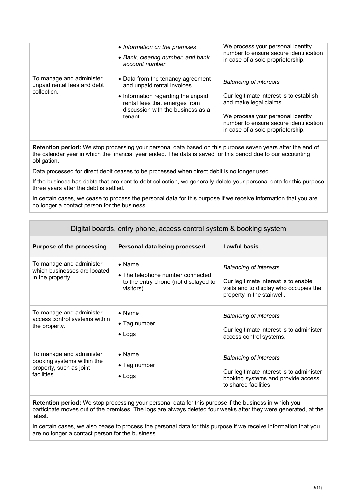|                                                                        | • Information on the premises<br>• Bank, clearing number, and bank<br>account number                                                                                                  | We process your personal identity<br>number to ensure secure identification<br>in case of a sole proprietorship.                                                                                                       |
|------------------------------------------------------------------------|---------------------------------------------------------------------------------------------------------------------------------------------------------------------------------------|------------------------------------------------------------------------------------------------------------------------------------------------------------------------------------------------------------------------|
| To manage and administer<br>unpaid rental fees and debt<br>collection. | • Data from the tenancy agreement<br>and unpaid rental invoices<br>• Information regarding the unpaid<br>rental fees that emerges from<br>discussion with the business as a<br>tenant | <b>Balancing of interests</b><br>Our legitimate interest is to establish<br>and make legal claims.<br>We process your personal identity<br>number to ensure secure identification<br>in case of a sole proprietorship. |

**Retention period:** We stop processing your personal data based on this purpose seven years after the end of the calendar year in which the financial year ended. The data is saved for this period due to our accounting obligation.

Data processed for direct debit ceases to be processed when direct debit is no longer used.

If the business has debts that are sent to debt collection, we generally delete your personal data for this purpose three years after the debt is settled.

In certain cases, we cease to process the personal data for this purpose if we receive information that you are no longer a contact person for the business.

| Digital boards, entry phone, access control system & booking system                              |                                                                                                         |                                                                                                                                               |
|--------------------------------------------------------------------------------------------------|---------------------------------------------------------------------------------------------------------|-----------------------------------------------------------------------------------------------------------------------------------------------|
| <b>Purpose of the processing</b>                                                                 | Personal data being processed                                                                           | <b>Lawful basis</b>                                                                                                                           |
| To manage and administer<br>which businesses are located<br>in the property.                     | $\bullet$ Name<br>• The telephone number connected<br>to the entry phone (not displayed to<br>visitors) | <b>Balancing of interests</b><br>Our legitimate interest is to enable<br>visits and to display who occupies the<br>property in the stairwell. |
| To manage and administer<br>access control systems within<br>the property.                       | $\bullet$ Name<br>• Tag number<br>$\bullet$ Logs                                                        | <b>Balancing of interests</b><br>Our legitimate interest is to administer<br>access control systems.                                          |
| To manage and administer<br>booking systems within the<br>property, such as joint<br>facilities. | $\bullet$ Name<br>• Tag number<br>$\bullet$ Logs                                                        | <b>Balancing of interests</b><br>Our legitimate interest is to administer<br>booking systems and provide access<br>to shared facilities.      |

**Retention period:** We stop processing your personal data for this purpose if the business in which you participate moves out of the premises. The logs are always deleted four weeks after they were generated, at the latest.

In certain cases, we also cease to process the personal data for this purpose if we receive information that you are no longer a contact person for the business.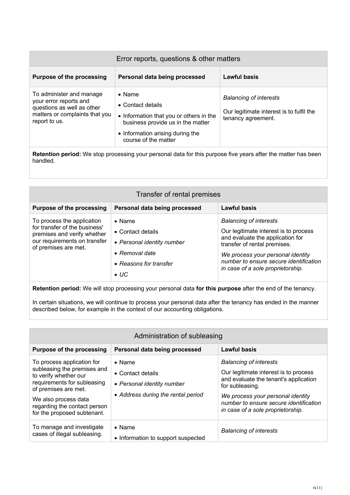| Error reports, questions & other matters                                                                                            |                                                                                                                                                                                 |                                                                                                 |
|-------------------------------------------------------------------------------------------------------------------------------------|---------------------------------------------------------------------------------------------------------------------------------------------------------------------------------|-------------------------------------------------------------------------------------------------|
| <b>Purpose of the processing</b>                                                                                                    | Personal data being processed                                                                                                                                                   | <b>Lawful basis</b>                                                                             |
| To administer and manage<br>your error reports and<br>questions as well as other<br>matters or complaints that you<br>report to us. | $\bullet$ Name<br>• Contact details<br>• Information that you or others in the<br>business provide us in the matter<br>• Information arising during the<br>course of the matter | <b>Balancing of interests</b><br>Our legitimate interest is to fulfil the<br>tenancy agreement. |

**Retention period:** We stop processing your personal data for this purpose five years after the matter has been handled.

| Transfer of rental premises                                                                                                                        |                                                                                                                                       |                                                                                                                                                                                                                                                                |
|----------------------------------------------------------------------------------------------------------------------------------------------------|---------------------------------------------------------------------------------------------------------------------------------------|----------------------------------------------------------------------------------------------------------------------------------------------------------------------------------------------------------------------------------------------------------------|
| <b>Purpose of the processing</b>                                                                                                                   | Personal data being processed                                                                                                         | Lawful basis                                                                                                                                                                                                                                                   |
| To process the application<br>for transfer of the business'<br>premises and verify whether<br>our requirements on transfer<br>of premises are met. | $\bullet$ Name<br>• Contact details<br>• Personal identity number<br>$\bullet$ Removal date<br>• Reasons for transfer<br>$\bullet$ UC | <b>Balancing of interests</b><br>Our legitimate interest is to process<br>and evaluate the application for<br>transfer of rental premises.<br>We process your personal identity<br>number to ensure secure identification<br>in case of a sole proprietorship. |

**Retention period:** We will stop processing your personal data **for this purpose** after the end of the tenancy.

In certain situations, we will continue to process your personal data after the tenancy has ended in the manner described below, for example in the context of our accounting obligations.

| Administration of subleasing                                                                                                                                                                                                     |                                                                                                         |                                                                                                                                                                                                                                                        |
|----------------------------------------------------------------------------------------------------------------------------------------------------------------------------------------------------------------------------------|---------------------------------------------------------------------------------------------------------|--------------------------------------------------------------------------------------------------------------------------------------------------------------------------------------------------------------------------------------------------------|
| <b>Purpose of the processing</b>                                                                                                                                                                                                 | Personal data being processed                                                                           | <b>Lawful basis</b>                                                                                                                                                                                                                                    |
| To process application for<br>subleasing the premises and<br>to verify whether our<br>requirements for subleasing<br>of premises are met.<br>We also process data<br>regarding the contact person<br>for the proposed subtenant. | $\bullet$ Name<br>• Contact details<br>• Personal identity number<br>• Address during the rental period | <b>Balancing of interests</b><br>Our legitimate interest is to process<br>and evaluate the tenant's application<br>for subleasing.<br>We process your personal identity<br>number to ensure secure identification<br>in case of a sole proprietorship. |
| To manage and investigate<br>cases of illegal subleasing.                                                                                                                                                                        | $\bullet$ Name<br>• Information to support suspected                                                    | <b>Balancing of interests</b>                                                                                                                                                                                                                          |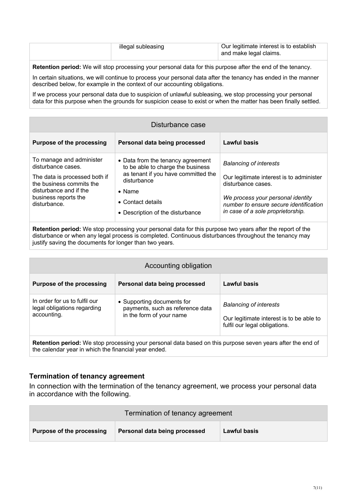| illegal subleasing | Our legitimate interest is to establish<br>and make legal claims. |
|--------------------|-------------------------------------------------------------------|
|                    |                                                                   |

**Retention period:** We will stop processing your personal data for this purpose after the end of the tenancy.

In certain situations, we will continue to process your personal data after the tenancy has ended in the manner described below, for example in the context of our accounting obligations.

If we process your personal data due to suspicion of unlawful subleasing, we stop processing your personal data for this purpose when the grounds for suspicion cease to exist or when the matter has been finally settled.

| Disturbance case                                                                                                                                                              |                                                                                                                                                                                                                 |                                                                                                                                                                                                                     |
|-------------------------------------------------------------------------------------------------------------------------------------------------------------------------------|-----------------------------------------------------------------------------------------------------------------------------------------------------------------------------------------------------------------|---------------------------------------------------------------------------------------------------------------------------------------------------------------------------------------------------------------------|
| <b>Purpose of the processing</b>                                                                                                                                              | Personal data being processed                                                                                                                                                                                   | Lawful basis                                                                                                                                                                                                        |
| To manage and administer<br>disturbance cases.<br>The data is processed both if<br>the business commits the<br>disturbance and if the<br>business reports the<br>disturbance. | • Data from the tenancy agreement<br>to be able to charge the business<br>as tenant if you have committed the<br>disturbance<br>$\bullet$ Name<br>$\bullet$ Contact details<br>• Description of the disturbance | <b>Balancing of interests</b><br>Our legitimate interest is to administer<br>disturbance cases.<br>We process your personal identity<br>number to ensure secure identification<br>in case of a sole proprietorship. |

**Retention period:** We stop processing your personal data for this purpose two years after the report of the disturbance or when any legal process is completed. Continuous disturbances throughout the tenancy may justify saving the documents for longer than two years.

| Accounting obligation                                                                                      |                                                                                            |                                                                                                            |
|------------------------------------------------------------------------------------------------------------|--------------------------------------------------------------------------------------------|------------------------------------------------------------------------------------------------------------|
| <b>Purpose of the processing</b>                                                                           | Personal data being processed                                                              | Lawful basis                                                                                               |
| In order for us to fulfil our<br>legal obligations regarding<br>accounting.                                | • Supporting documents for<br>payments, such as reference data<br>in the form of your name | <b>Balancing of interests</b><br>Our legitimate interest is to be able to<br>fulfil our legal obligations. |
| Retention period: We stop processing your personal data based on this purpose seven years after the end of |                                                                                            |                                                                                                            |

#### **Termination of tenancy agreement**

the calendar year in which the financial year ended.

In connection with the termination of the tenancy agreement, we process your personal data in accordance with the following.

| Termination of tenancy agreement |                               |                     |
|----------------------------------|-------------------------------|---------------------|
| Purpose of the processing        | Personal data being processed | <b>Lawful basis</b> |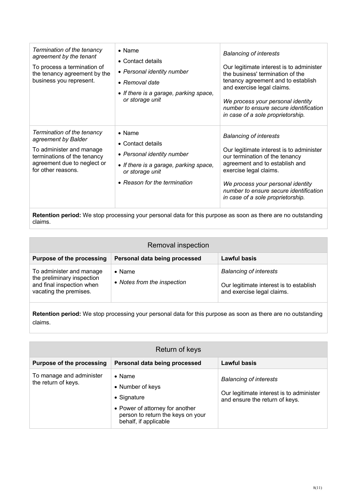| Termination of the tenancy<br>agreement by the tenant<br>To process a termination of<br>the tenancy agreement by the<br>business you represent.                   | $\bullet$ Name<br>• Contact details<br>• Personal identity number<br>$\bullet$ Removal date<br>• If there is a garage, parking space,<br>or storage unit       | <b>Balancing of interests</b><br>Our legitimate interest is to administer<br>the business' termination of the<br>tenancy agreement and to establish<br>and exercise legal claims.<br>We process your personal identity<br>number to ensure secure identification<br>in case of a sole proprietorship. |
|-------------------------------------------------------------------------------------------------------------------------------------------------------------------|----------------------------------------------------------------------------------------------------------------------------------------------------------------|-------------------------------------------------------------------------------------------------------------------------------------------------------------------------------------------------------------------------------------------------------------------------------------------------------|
| Termination of the tenancy<br>agreement by Balder<br>To administer and manage<br>terminations of the tenancy<br>agreement due to neglect or<br>for other reasons. | $\bullet$ Name<br>• Contact details<br>• Personal identity number<br>• If there is a garage, parking space,<br>or storage unit<br>• Reason for the termination | <b>Balancing of interests</b><br>Our legitimate interest is to administer<br>our termination of the tenancy<br>agreement and to establish and<br>exercise legal claims.<br>We process your personal identity<br>number to ensure secure identification<br>in case of a sole proprietorship.           |

**Retention period:** We stop processing your personal data for this purpose as soon as there are no outstanding claims.

| Removal inspection                                                                                            |                                               |                                                                                                        |
|---------------------------------------------------------------------------------------------------------------|-----------------------------------------------|--------------------------------------------------------------------------------------------------------|
| <b>Purpose of the processing</b>                                                                              | Personal data being processed                 | Lawful basis                                                                                           |
| To administer and manage<br>the preliminary inspection<br>and final inspection when<br>vacating the premises. | $\bullet$ Name<br>• Notes from the inspection | <b>Balancing of interests</b><br>Our legitimate interest is to establish<br>and exercise legal claims. |

**Retention period:** We stop processing your personal data for this purpose as soon as there are no outstanding claims.

| Return of keys                                  |                                                                                                                                                    |                                                                                                             |
|-------------------------------------------------|----------------------------------------------------------------------------------------------------------------------------------------------------|-------------------------------------------------------------------------------------------------------------|
| <b>Purpose of the processing</b>                | Personal data being processed                                                                                                                      | Lawful basis                                                                                                |
| To manage and administer<br>the return of keys. | $\bullet$ Name<br>• Number of keys<br>• Signature<br>• Power of attorney for another<br>person to return the keys on your<br>behalf, if applicable | <b>Balancing of interests</b><br>Our legitimate interest is to administer<br>and ensure the return of keys. |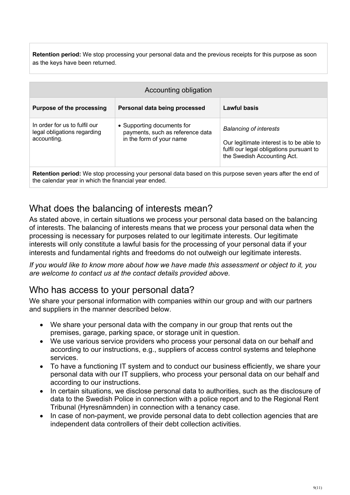**Retention period:** We stop processing your personal data and the previous receipts for this purpose as soon as the keys have been returned.

| Accounting obligation                                                                                             |                                                                                            |                                                                                                                                                      |
|-------------------------------------------------------------------------------------------------------------------|--------------------------------------------------------------------------------------------|------------------------------------------------------------------------------------------------------------------------------------------------------|
| <b>Purpose of the processing</b>                                                                                  | Personal data being processed                                                              | Lawful basis                                                                                                                                         |
| In order for us to fulfil our<br>legal obligations regarding<br>accounting.                                       | • Supporting documents for<br>payments, such as reference data<br>in the form of your name | <b>Balancing of interests</b><br>Our legitimate interest is to be able to<br>fulfil our legal obligations pursuant to<br>the Swedish Accounting Act. |
| <b>Retention period:</b> We stop processing your personal data based on this purpose seven years after the end of |                                                                                            |                                                                                                                                                      |

**ketention period:** we stop processing your personal data based on this the calendar year in which the financial year ended.

## What does the balancing of interests mean?

As stated above, in certain situations we process your personal data based on the balancing of interests. The balancing of interests means that we process your personal data when the processing is necessary for purposes related to our legitimate interests. Our legitimate interests will only constitute a lawful basis for the processing of your personal data if your interests and fundamental rights and freedoms do not outweigh our legitimate interests.

*If you would like to know more about how we have made this assessment or object to it, you are welcome to contact us at the contact details provided above.*

## Who has access to your personal data?

We share your personal information with companies within our group and with our partners and suppliers in the manner described below.

- We share your personal data with the company in our group that rents out the premises, garage, parking space, or storage unit in question.
- We use various service providers who process your personal data on our behalf and according to our instructions, e.g., suppliers of access control systems and telephone services.
- To have a functioning IT system and to conduct our business efficiently, we share your personal data with our IT suppliers, who process your personal data on our behalf and according to our instructions.
- In certain situations, we disclose personal data to authorities, such as the disclosure of data to the Swedish Police in connection with a police report and to the Regional Rent Tribunal (Hyresnämnden) in connection with a tenancy case.
- In case of non-payment, we provide personal data to debt collection agencies that are independent data controllers of their debt collection activities.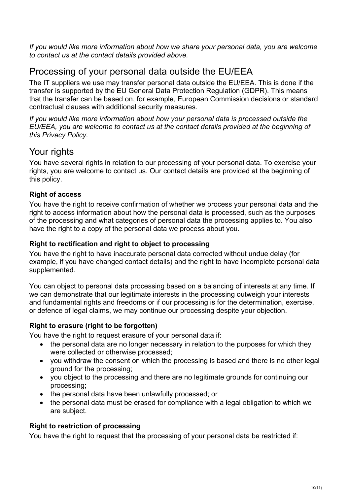*If you would like more information about how we share your personal data, you are welcome to contact us at the contact details provided above.*

## Processing of your personal data outside the EU/EEA

The IT suppliers we use may transfer personal data outside the EU/EEA. This is done if the transfer is supported by the EU General Data Protection Regulation (GDPR). This means that the transfer can be based on, for example, European Commission decisions or standard contractual clauses with additional security measures.

*If you would like more information about how your personal data is processed outside the EU/EEA, you are welcome to contact us at the contact details provided at the beginning of this Privacy Policy.*

## Your rights

You have several rights in relation to our processing of your personal data. To exercise your rights, you are welcome to contact us. Our contact details are provided at the beginning of this policy.

## **Right of access**

You have the right to receive confirmation of whether we process your personal data and the right to access information about how the personal data is processed, such as the purposes of the processing and what categories of personal data the processing applies to. You also have the right to a copy of the personal data we process about you.

### **Right to rectification and right to object to processing**

You have the right to have inaccurate personal data corrected without undue delay (for example, if you have changed contact details) and the right to have incomplete personal data supplemented.

You can object to personal data processing based on a balancing of interests at any time. If we can demonstrate that our legitimate interests in the processing outweigh your interests and fundamental rights and freedoms or if our processing is for the determination, exercise, or defence of legal claims, we may continue our processing despite your objection.

## **Right to erasure (right to be forgotten)**

You have the right to request erasure of your personal data if:

- the personal data are no longer necessary in relation to the purposes for which they were collected or otherwise processed;
- you withdraw the consent on which the processing is based and there is no other legal ground for the processing;
- you object to the processing and there are no legitimate grounds for continuing our processing;
- the personal data have been unlawfully processed; or
- the personal data must be erased for compliance with a legal obligation to which we are subject.

## **Right to restriction of processing**

You have the right to request that the processing of your personal data be restricted if: